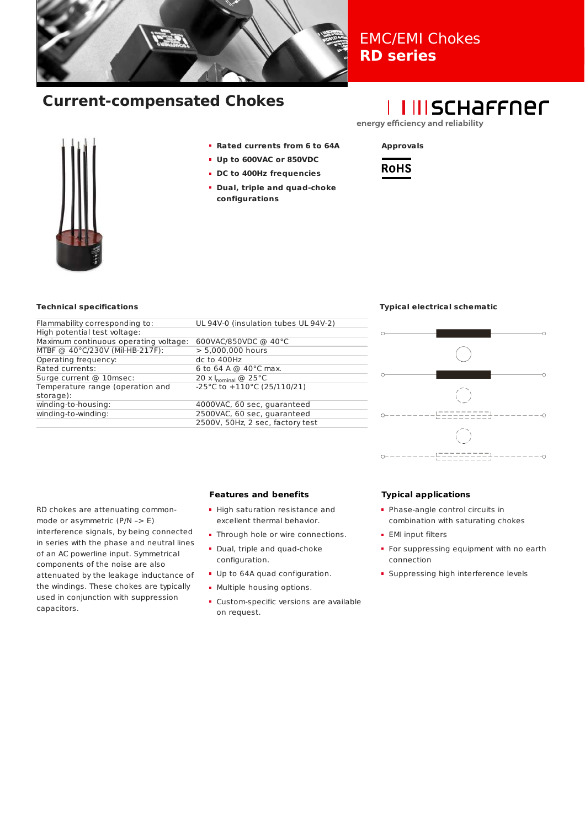

## EMC/EMI Chokes **RD series**

# **Current-compensated Chokes**

# **I IIISCHAFFNEL**

energy efficiency and reliability



- **Rated currents from 6 to 64A**
- **Up to 600VAC or 850VDC**
- **DC to 400Hz frequencies**
- **Dual, triple and quad-choke configurations**



## **Technical specifications**

| Flammability corresponding to:        | UL 94V-0 (insulation tubes UL 94V-2)     |
|---------------------------------------|------------------------------------------|
| High potential test voltage:          |                                          |
| Maximum continuous operating voltage: | 600VAC/850VDC @ 40°C                     |
| MTBF @ 40°C/230V (Mil-HB-217F):       | > 5,000,000 hours                        |
| Operating frequency:                  | dc to 400Hz                              |
| Rated currents:                       | 6 to 64 A @ $40^{\circ}$ C max.          |
| Surge current @ 10msec:               | 20 $\times$ I <sub>nominal</sub> @ 25 °C |
| Temperature range (operation and      | -25°C to $+110$ °C (25/110/21)           |
| storage):                             |                                          |
| winding-to-housing:                   | 4000VAC, 60 sec, quaranteed              |
| winding-to-winding:                   | 2500VAC, 60 sec, quaranteed              |
|                                       | 2500V, 50Hz, 2 sec, factory test         |
|                                       |                                          |

## **Typical electrical schematic**



RD chokes are attenuating commonmode or asymmetric (P/N –> E) interference signals, by being connected in series with the phase and neutral lines of an AC powerline input. Symmetrical components of the noise are also attenuated by the leakage inductance of the windings. These chokes are typically used in conjunction with suppression capacitors.

## **Features and benefits**

- **-** High saturation resistance and excellent thermal behavior.
- Through hole or wire connections.
- **Dual, triple and quad-choke** configuration.
- Up to 64A quad configuration.
- **Multiple housing options.**
- Custom-specific versions are available on request.

## **Typical applications**

- Phase-angle control circuits in combination with saturating chokes
- **EMI** input filters
- For suppressing equipment with no earth connection
- **Suppressing high interference levels**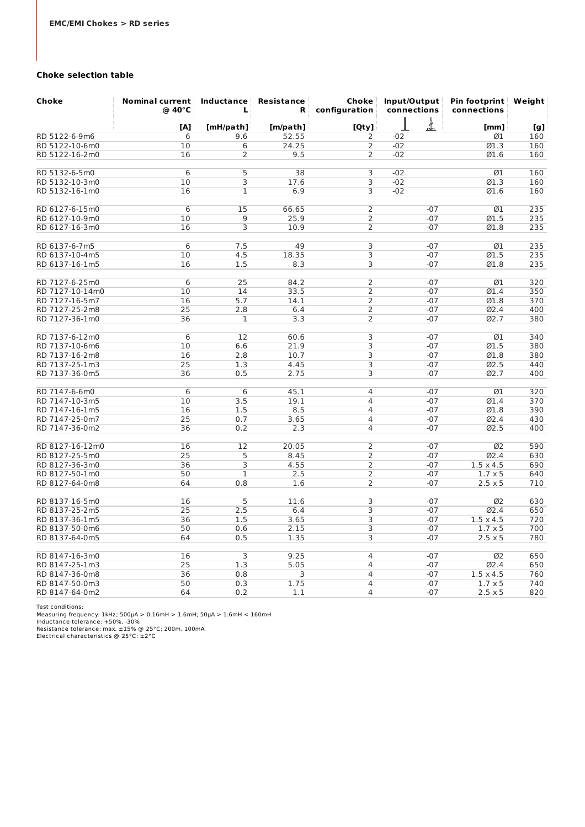## **Choke selection table**

| Choke           | <b>Nominal current</b><br>@ 40°C | Inductance<br>L | <b>Resistance</b><br>R | Choke<br>configuration | Input/Output<br>connections |       | Pin footprint<br>connections | Weight |  |
|-----------------|----------------------------------|-----------------|------------------------|------------------------|-----------------------------|-------|------------------------------|--------|--|
|                 | [A]                              | [mH/path]       | [m/path]               | [Qty]                  |                             | ▟     | [mm]                         | [g]    |  |
| RD 5122-6-9m6   | 6                                | 9.6             | 52.55                  | 2                      | $-02$                       |       | Ø1                           | 160    |  |
| RD 5122-10-6m0  | 10                               | 6               | 24.25                  | 2                      | $-02$                       |       | Ø1.3                         | 160    |  |
| RD 5122-16-2m0  | 16                               | $\overline{2}$  | 9.5                    | $\overline{2}$         | $-02$                       |       | 01.6                         | 160    |  |
|                 |                                  |                 |                        |                        |                             |       |                              |        |  |
| RD 5132-6-5m0   | 6                                | 5               | 38                     | 3                      | $-02$                       |       | Ø1                           | 160    |  |
| RD 5132-10-3m0  | 10                               | 3               | 17.6                   | 3                      | $-02$                       |       | Ø1.3                         | 160    |  |
| RD 5132-16-1m0  | 16                               | $\mathbf{1}$    | 6.9                    | 3                      | $-02$                       |       | 01.6                         | 160    |  |
| RD 6127-6-15m0  | 6                                | 15              | 66.65                  | $\overline{2}$         |                             | $-07$ | Ø1                           | 235    |  |
| RD 6127-10-9m0  | 10                               | 9               | 25.9                   | $\overline{2}$         |                             | $-07$ | Ø1.5                         | 235    |  |
| RD 6127-16-3m0  | 16                               | 3               | 10.9                   | 2                      |                             | $-07$ | Ø1.8                         | 235    |  |
|                 |                                  |                 |                        |                        |                             |       |                              |        |  |
| RD 6137-6-7m5   | 6                                | 7.5             | 49                     | 3                      |                             | $-07$ | Ø1                           | 235    |  |
| RD 6137-10-4m5  | 10                               | 4.5             | 18.35                  | 3                      |                             | $-07$ | Ø1.5                         | 235    |  |
| RD 6137-16-1m5  | 16                               | 1.5             | 8.3                    | 3                      |                             | $-07$ | 01.8                         | 235    |  |
| RD 7127-6-25m0  | 6                                | 25              | 84.2                   | $\overline{2}$         |                             | $-07$ | Ø1                           | 320    |  |
| RD 7127-10-14m0 | 10                               | 14              | 33.5                   | 2                      |                             | $-07$ | Ø1.4                         | 350    |  |
| RD 7127-16-5m7  | 16                               | 5.7             | 14.1                   | $\overline{2}$         |                             | $-07$ | Ø1.8                         | 370    |  |
| RD 7127-25-2m8  | 25                               | 2.8             | 6.4                    | 2                      |                             | $-07$ | Ø2.4                         | 400    |  |
| RD 7127-36-1m0  | 36                               | $\mathbf{1}$    | 3.3                    | $\overline{2}$         |                             | $-07$ | 02.7                         | 380    |  |
| RD 7137-6-12m0  | 6                                | 12              | 60.6                   | 3                      |                             | $-07$ | Ø1                           | 340    |  |
| RD 7137-10-6m6  | 10                               | 6.6             | 21.9                   | 3                      |                             | $-07$ | Ø1.5                         | 380    |  |
| RD 7137-16-2m8  | 16                               | 2.8             | 10.7                   | 3                      |                             | $-07$ | 01.8                         | 380    |  |
| RD 7137-25-1m3  | 25                               | 1.3             | 4.45                   | 3                      |                             | $-07$ | Ø2.5                         | 440    |  |
| RD 7137-36-0m5  | 36                               | 0.5             | 2.75                   | $\overline{3}$         |                             | $-07$ | 02.7                         | 400    |  |
| RD 7147-6-6m0   | 6                                | 6               | 45.1                   | $\overline{4}$         |                             | $-07$ | Ø1                           | 320    |  |
| RD 7147-10-3m5  | 10                               | 3.5             | 19.1                   | 4                      |                             | $-07$ | Ø1.4                         | 370    |  |
| RD 7147-16-1m5  | 16                               | 1.5             | 8.5                    | $\overline{4}$         |                             | $-07$ | 01.8                         | 390    |  |
| RD 7147-25-0m7  | 25                               | 0.7             | 3.65                   | $\overline{4}$         |                             | $-07$ | Ø2.4                         | 430    |  |
| RD 7147-36-0m2  | 36                               | 0.2             | 2.3                    | $\overline{4}$         |                             | $-07$ | 02.5                         | 400    |  |
| RD 8127-16-12m0 | 16                               | 12              | 20.05                  | 2                      |                             | $-07$ | Ø2                           | 590    |  |
| RD 8127-25-5m0  | 25                               | 5               | 8.45                   | 2                      |                             | $-07$ | Ø2.4                         | 630    |  |
| RD 8127-36-3m0  | 36                               | 3               | 4.55                   | $\overline{2}$         |                             | $-07$ | $1.5 \times 4.5$             | 690    |  |
| RD 8127-50-1m0  | 50                               | $\mathbf{1}$    | 2.5                    | $\overline{2}$         |                             | $-07$ | $1.7 \times 5$               | 640    |  |
| RD 8127-64-0m8  | 64                               | 0.8             | 1.6                    | $\overline{2}$         |                             | $-07$ | $2.5 \times 5$               | 710    |  |
|                 |                                  |                 |                        |                        |                             |       |                              |        |  |
| RD 8137-16-5m0  | 16                               | 5               | 11.6                   | 3                      |                             | $-07$ | Ø2                           | 630    |  |
| RD 8137-25-2m5  | 25                               | 2.5             | 6.4                    | 3                      |                             | $-07$ | 02.4                         | 650    |  |
| RD 8137-36-1m5  | 36                               | 1.5             | 3.65                   | 3                      |                             | $-07$ | $1.5 \times 4.5$             | 720    |  |
| RD 8137-50-0m6  | 50                               | 0.6             | 2.15                   | 3                      |                             | $-07$ | $1.7 \times 5$               | 700    |  |
| RD 8137-64-0m5  | 64                               | 0.5             | 1.35                   | 3                      |                             | $-07$ | $2.5 \times 5$               | 780    |  |
| RD 8147-16-3m0  | 16                               | 3               | 9.25                   | 4                      |                             | $-07$ | Ø2                           | 650    |  |
| RD 8147-25-1m3  | 25                               | 1.3             | 5.05                   | 4                      |                             | $-07$ | Ø2.4                         | 650    |  |
| RD 8147-36-0m8  | 36                               | 0.8             | 3                      | 4                      |                             | $-07$ | $1.5 \times 4.5$             | 760    |  |
| RD 8147-50-0m3  | 50                               | 0.3             | 1.75                   | 4                      |                             | $-07$ | $1.7 \times 5$               | 740    |  |
| RD 8147-64-0m2  | 64                               | 0.2             | 1.1                    | $\overline{4}$         |                             | $-07$ | $2.5 \times 5$               | 820    |  |

Test conditions: Measuring frequency: 1kHz; 500μA > 0.16mH > 1.6mH; 50μA > 1.6mH < 160mH Inductance tolerance: +50%, -30% Resistance tolerance: max. ±15% @ 25°C; 200m, 100mA Electrical characteristics @ 25°C: ±2°C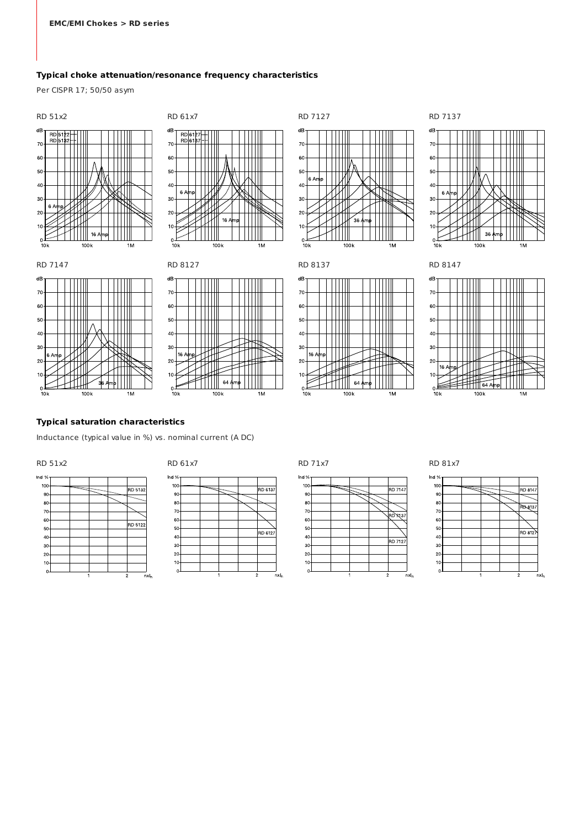## **Typical choke attenuation/resonance frequency characteristics**

Per CISPR 17; 50/50 asym













RD 7147 RD 8127 RD 8137 RD 8147





## **Typical saturation characteristics**

Inductance (typical value in %) vs. nominal current (A DC)





Ind  $%$ 







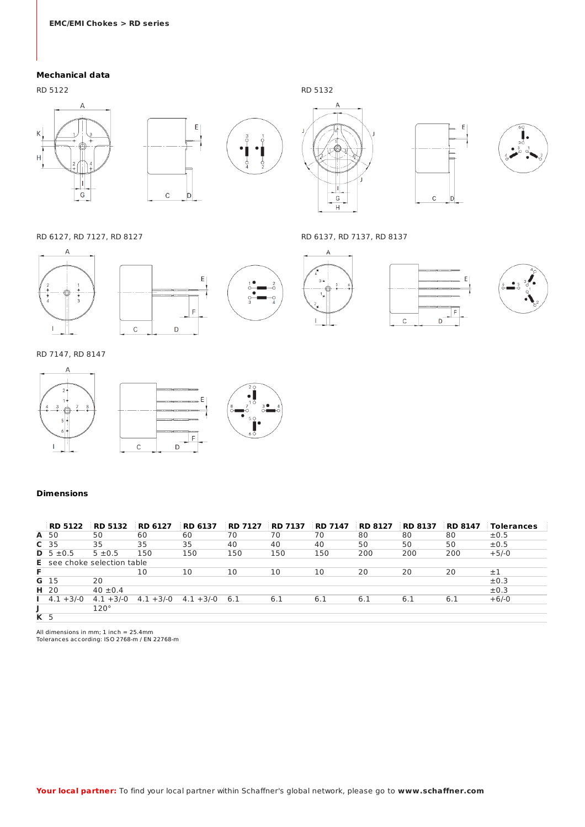## **Mechanical data**

 $\overline{A}$ 

€

h

 ${\mathsf G}$ 

RD 5122 RD 5132

 $\overline{\mathsf{K}}$ 

 $\overline{H}$ 

 $\overline{\mathsf{E}}$  ${\mathsf C}$  $\vert$ D

 $\overline{A}$ L  $\mathbb{R}$ 

 $\overline{\phantom{a}}$ 

 $\mathsf{G}$ 

 $\overline{H}$ 

 $\overline{A}$ 

 $\overset{5}{\oplus}$   $\overset{5}{\cdot}$  $\mathbf{t}$ 

 $3\lambda$ 





RD 6127, RD 7127, RD 8127 RD 6137, RD 7137, RD 8137









## RD 7147, RD 8147

 $\mathbf{I}$ 



## **Dimensions**

|                | <b>RD 5122</b>                     | <b>RD 5132</b> | <b>RD 6127</b> | <b>RD 6137</b> | <b>RD 7127</b> | <b>RD 7137</b> | <b>RD 7147</b> | <b>RD 8127</b> | <b>RD 8137</b> | <b>RD 8147</b> | <b>Tolerances</b> |
|----------------|------------------------------------|----------------|----------------|----------------|----------------|----------------|----------------|----------------|----------------|----------------|-------------------|
|                | A 50                               | 50             | 60             | 60             | 70             | 70             | 70             | 80             | 80             | 80             | $\pm 0.5$         |
|                | C <sub>35</sub>                    | 35             | 35             | 35             | 40             | 40             | 40             | 50             | 50             | 50             | $\pm 0.5$         |
|                | <b>D</b> $5 \pm 0.5$               | $5 \pm 0.5$    | 150            | 150            | 150            | 150            | 150            | 200            | 200            | 200            | $+5/-0$           |
|                | <b>E</b> see choke selection table |                |                |                |                |                |                |                |                |                |                   |
| F              |                                    |                | 10             | 10             | 10             | 10             | 10             | 20             | 20             | 20             | $\pm 1$           |
|                | G 15                               | 20             |                |                |                |                |                |                |                |                | $\pm 0.3$         |
|                | H 20                               | $40 \pm 0.4$   |                |                |                |                |                |                |                |                | ±0.3              |
|                | $1 \t4.1 + 3/-0$                   | $4.1 + 3/-0$   | $4.1 + 3/-0$   | $4.1 + 3/-0$   | -6.1           | 6.1            | 6.1            | 6.1            | 6.1            | 6.1            | $+6/-0$           |
|                |                                    | $120^\circ$    |                |                |                |                |                |                |                |                |                   |
| K <sub>5</sub> |                                    |                |                |                |                |                |                |                |                |                |                   |

All dimensions in mm; 1 inch = 25.4mm Tolerances according: ISO 2768-m / EN 22768-m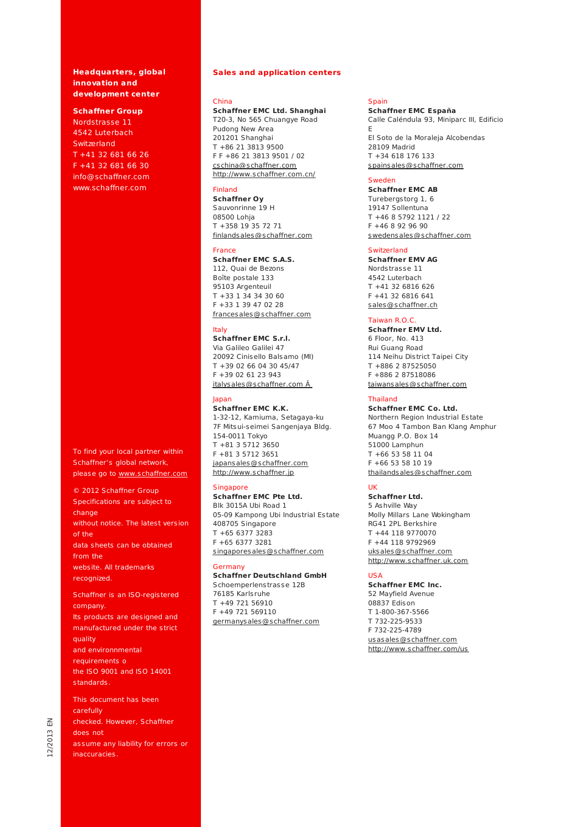## **Headquarters, global innovation and development center**

#### **Schaffner Group**

Nordstrasse 11 4542 Luterbach **Switzerland** T +41 32 681 66 26 F +41 32 681 66 30 info@schaffner.com www.schaffner.com

To find your local partner within Schaffner's global network, please go to www.schaffner.com

© 2012 Schaffner Group Specifications are subject to change without notice. The latest version of the data sheets can be obtained from the website. All trademarks recognized.

Schaffner is an ISO-registered company. Its products are designed and manufactured under the strict quality and environnmental requirements o the ISO 9001 and ISO 14001 standards.

This document has been carefully checked. However, Schaffner does not assume any liability for errors [or](http://www.schaffner.com/) inaccuracies.

## **Sales and application centers**

#### China

**Schaffner EMC Ltd. Shanghai** T20-3, No 565 Chuangye Road Pudong New Area 201201 Shanghai T +86 21 3813 9500 F F +86 21 3813 9501 / 02 cschina@schaffner.com http://www.schaffner.com.cn/

## Finland

**Schaffner Oy** Sauvonrinne 19 H 08500 Lohja T +358 19 35 72 71 finlandsales@schaffner.com

#### France

## **Schaffner EMC S.A.S.**

112, Quai de Bezons Boîte postale 133 95103 Argenteuil T +33 1 34 34 30 60 F +33 1 39 47 02 28 francesales@schaffner.com

#### Italy

**Schaffner EMC S.r.l.** Via Galileo Galilei 47 20092 Cinisello Balsamo (MI) T +39 02 66 04 30 45/47 F +39 02 61 23 943 italysales@schaffner.com Â

#### Japan

**Schaffner EMC K.K.**  1-32-12, Kamiuma, Setagaya-ku 7F Mitsui-seimei Sangenjaya Bldg. 154-0011 Tokyo T +81 3 5712 3650 F +81 3 5712 3651 japansales@schaffner.com http://www.schaffner.jp

## Singapore

**Schaffner EMC Pte Ltd.** Blk 3015A Ubi Road 1 05-09 Kampong Ubi Industrial Estate 408705 Singapore T +65 6377 3283 F +65 6377 3281 singaporesales@schaffner.com

### Germany

**Schaffner Deutschland GmbH** Schoemperlenstrasse 12B 76185 Karlsruhe T +49 721 56910 F +49 721 569110 germanysales@schaffner.com

#### Spain

**Schaffner EMC España** Calle Caléndula 93, Miniparc III, Edificio E El Soto de la Moraleja Alcobendas 28109 Madrid T +34 618 176 133 spainsales@schaffner.com

## Sweden

**Schaffner EMC AB**  Turebergstorg 1, 6 19147 Sollentuna T +46 8 5792 1121 / 22 F +46 8 92 96 90 swedensales@schaffner.com

#### **Switzerland**

**[Schaffner EMV AG](mailto:cschina@schaffner.com)** [Nordstrasse 11](http://www.schaffner.com.cn/)  4542 Luterbach T +41 32 6816 626 F +41 32 6816 641 sales@schaffner.ch

## Taiwan R.O.C.

**Schaffner EMV Ltd.** 6 Floor, No. 413 Rui Guang Road 114 Neihu District Taipei City [T +886 2 87525050](mailto:finlandsales@schaffner.com)  F +886 2 87518086 taiwansales@schaffner.com

## Thailand

**Schaffner EMC Co. Ltd.** Northern Region Industrial Estate 67 Moo 4 Tambon Ban Klang Amphur Muangg P.O. Box 14 51000 Lamphun T +66 53 58 11 04 F +66 53 58 10 19 thailandsales@schaffner.com

## [UK](mailto:francesales@schaffner.com)

**Schaffner Ltd.**  5 Ashville Way Molly Millars Lane Wokingham RG41 2PL Berkshire T +44 118 9770070 F +44 118 9792969 uksales@schaffner.com http://www.schaffner.uk.com

## USA

**Schaffner EMC Inc.** [52 Mayfield Avenue](mailto:italysales@schaffner.com   )  08837 Edison T 1-800-367-5566 T 732-225-9533 F 732-225-4789 usasales@schaffner.com http://www.schaffner.com/us